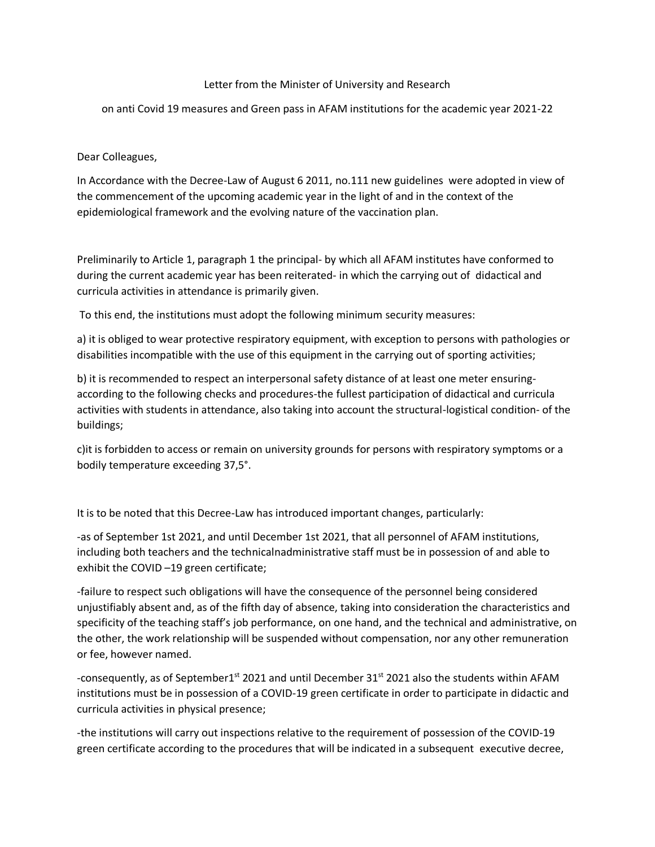## Letter from the Minister of University and Research

on anti Covid 19 measures and Green pass in AFAM institutions for the academic year 2021-22

Dear Colleagues,

In Accordance with the Decree-Law of August 6 2011, no.111 new guidelines were adopted in view of the commencement of the upcoming academic year in the light of and in the context of the epidemiological framework and the evolving nature of the vaccination plan.

Preliminarily to Article 1, paragraph 1 the principal- by which all AFAM institutes have conformed to during the current academic year has been reiterated- in which the carrying out of didactical and curricula activities in attendance is primarily given.

To this end, the institutions must adopt the following minimum security measures:

a) it is obliged to wear protective respiratory equipment, with exception to persons with pathologies or disabilities incompatible with the use of this equipment in the carrying out of sporting activities;

b) it is recommended to respect an interpersonal safety distance of at least one meter ensuringaccording to the following checks and procedures-the fullest participation of didactical and curricula activities with students in attendance, also taking into account the structural-logistical condition- of the buildings;

c)it is forbidden to access or remain on university grounds for persons with respiratory symptoms or a bodily temperature exceeding 37,5°.

It is to be noted that this Decree-Law has introduced important changes, particularly:

-as of September 1st 2021, and until December 1st 2021, that all personnel of AFAM institutions, including both teachers and the technicalnadministrative staff must be in possession of and able to exhibit the COVID –19 green certificate;

-failure to respect such obligations will have the consequence of the personnel being considered unjustifiably absent and, as of the fifth day of absence, taking into consideration the characteristics and specificity of the teaching staff's job performance, on one hand, and the technical and administrative, on the other, the work relationship will be suspended without compensation, nor any other remuneration or fee, however named.

-consequently, as of September1<sup>st</sup> 2021 and until December 31<sup>st</sup> 2021 also the students within AFAM institutions must be in possession of a COVID-19 green certificate in order to participate in didactic and curricula activities in physical presence;

-the institutions will carry out inspections relative to the requirement of possession of the COVID-19 green certificate according to the procedures that will be indicated in a subsequent executive decree,